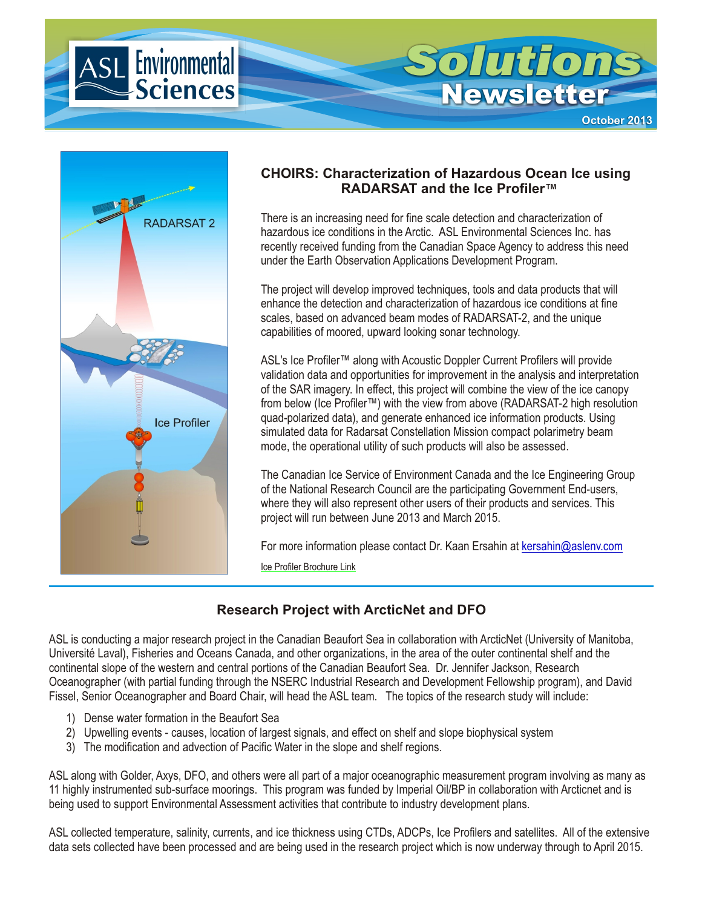



### **CHOIRS: Characterization of Hazardous Ocean Ice using RADARSAT and the Ice Profiler™**

There is an increasing need for fine scale detection and characterization of hazardous ice conditions in the Arctic. ASL Environmental Sciences Inc. has recently received funding from the Canadian Space Agency to address this need under the Earth Observation Applications Development Program.

The project will develop improved techniques, tools and data products that will enhance the detection and characterization of hazardous ice conditions at fine scales, based on advanced beam modes of RADARSAT-2, and the unique capabilities of moored, upward looking sonar technology.

ASL's Ice Profiler™ along with Acoustic Doppler Current Profilers will provide validation data and opportunities for improvement in the analysis and interpretation of the SAR imagery. In effect, this project will combine the view of the ice canopy from below (Ice Profiler™) with the view from above (RADARSAT-2 high resolution quad-polarized data), and generate enhanced ice information products. Using simulated data for Radarsat Constellation Mission compact polarimetry beam mode, the operational utility of such products will also be assessed.

The Canadian Ice Service of Environment Canada and the Ice Engineering Group of the National Research Council are the participating Government End-users, where they will also represent other users of their products and services. This project will run between June 2013 and March 2015.

For more information please contact Dr. Kaan Ersahin at [kersahin@aslenv.com](mailto:kersahin@aslenv.com)

[Ice Profiler Brochure Link](http://www.aslenv.com/brochures/IceProfiler.pdf)

# **Research Project with ArcticNet and DFO**

ASL is conducting a major research project in the Canadian Beaufort Sea in collaboration with ArcticNet (University of Manitoba, Université Laval), Fisheries and Oceans Canada, and other organizations, in the area of the outer continental shelf and the continental slope of the western and central portions of the Canadian Beaufort Sea. Dr. Jennifer Jackson, Research Oceanographer (with partial funding through the NSERC Industrial Research and Development Fellowship program), and David Fissel, Senior Oceanographer and Board Chair, will head the ASL team. The topics of the research study will include:

- 1) Dense water formation in the Beaufort Sea
- 2) Upwelling events causes, location of largest signals, and effect on shelf and slope biophysical system
- 3) The modification and advection of Pacific Water in the slope and shelf regions.

ASL along with Golder, Axys, DFO, and others were all part of a major oceanographic measurement program involving as many as 11 highly instrumented sub-surface moorings. This program was funded by Imperial Oil/BP in collaboration with Arcticnet and is being used to support Environmental Assessment activities that contribute to industry development plans.

ASL collected temperature, salinity, currents, and ice thickness using CTDs, ADCPs, Ice Profilers and satellites. All of the extensive data sets collected have been processed and are being used in the research project which is now underway through to April 2015.